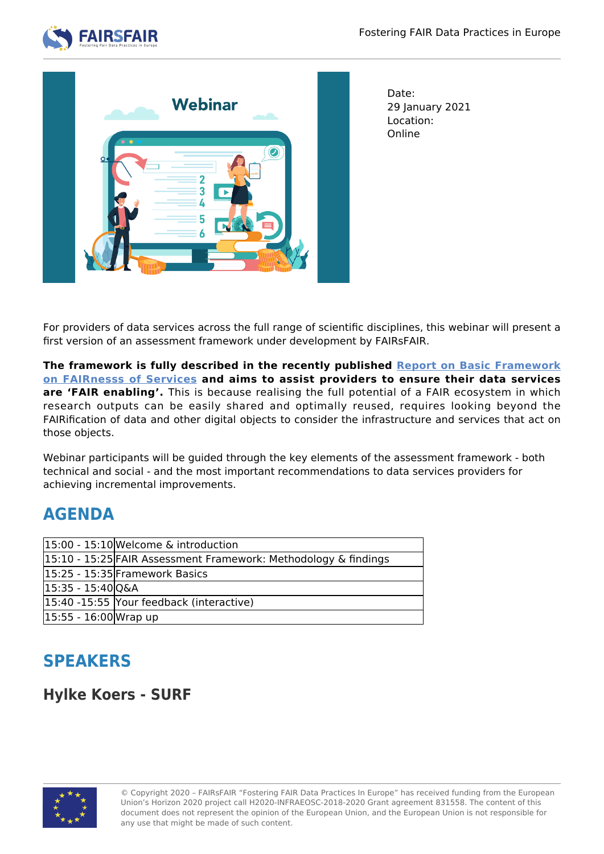



Date: 29 January 2021 Location: Online

For providers of data services across the full range of scientific disciplines, this webinar will present a first version of an assessment framework under development by FAIRsFAIR.

**The framework is fully described in the recently published [Report on Basic Framework](https://zenodo.org/record/4292599#.YA_53uB7lTY) [on FAIRnesss of Services](https://zenodo.org/record/4292599#.YA_53uB7lTY) and aims to assist providers to ensure their data services are 'FAIR enabling'.** This is because realising the full potential of a FAIR ecosystem in which research outputs can be easily shared and optimally reused, requires looking beyond the FAIRification of data and other digital objects to consider the infrastructure and services that act on those objects.

Webinar participants will be guided through the key elements of the assessment framework - both technical and social - and the most important recommendations to data services providers for achieving incremental improvements.

### **AGENDA**

|                       | $ 15:00 - 15:10 $ Welcome & introduction                        |
|-----------------------|-----------------------------------------------------------------|
|                       | 15:10 - 15:25 FAIR Assessment Framework: Methodology & findings |
|                       | 15:25 - 15:35 Framework Basics                                  |
| 15:35 - 15:40 Q&A     |                                                                 |
|                       | 15:40 -15:55 Your feedback (interactive)                        |
| 15:55 - 16:00 Wrap up |                                                                 |

# **SPEAKERS**

#### **Hylke Koers - SURF**